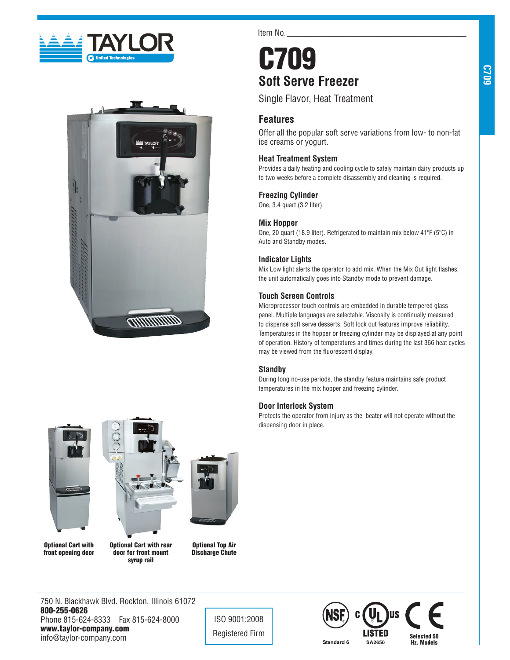



Item No.

# C709 **Soft Serve Freezer**

Single Flavor, Heat Treatment

# **Features**

Offer all the popular soft serve variations from low- to non-fat ice creams or yogurt.

## **Heat Treatment System**

Provides a daily heating and cooling cycle to safely maintain dairy products up to two weeks before a complete disassembly and cleaning is required.

## **Freezing Cylinder**

One, 3.4 quart (3.2 liter).

## **Mix Hopper**

One, 20 quart (18.9 liter). Refrigerated to maintain mix below 41ºF (5ºC) in Auto and Standby modes.

## **Indicator Lights**

Mix Low light alerts the operator to add mix. When the Mix Out light flashes, the unit automatically goes into Standby mode to prevent damage.

## **Touch Screen Controls**

Microprocessor touch controls are embedded in durable tempered glass panel. Multiple languages are selectable. Viscosity is continually measured to dispense soft serve desserts. Soft lock out features improve reliability. Temperatures in the hopper or freezing cylinder may be displayed at any point of operation. History of temperatures and times during the last 366 heat cycles may be viewed from the fluorescent display.

# **Standby**

During long no-use periods, the standby feature maintains safe product temperatures in the mix hopper and freezing cylinder.

## **Door Interlock System**

Protects the operator from injury as the beater will not operate without the dispensing door in place.





Optional Cart with front opening door

Optional Cart with rear door for front mount syrup rail

Optional Top Air Discharge Chute

750 N. Blackhawk Blvd. Rockton, Illinois 61072 800-255-0626 Phone 815-624-8333 Fax 815-624-8000 www.taylor-company.com info@taylor-company.com

ISO 9001:2008